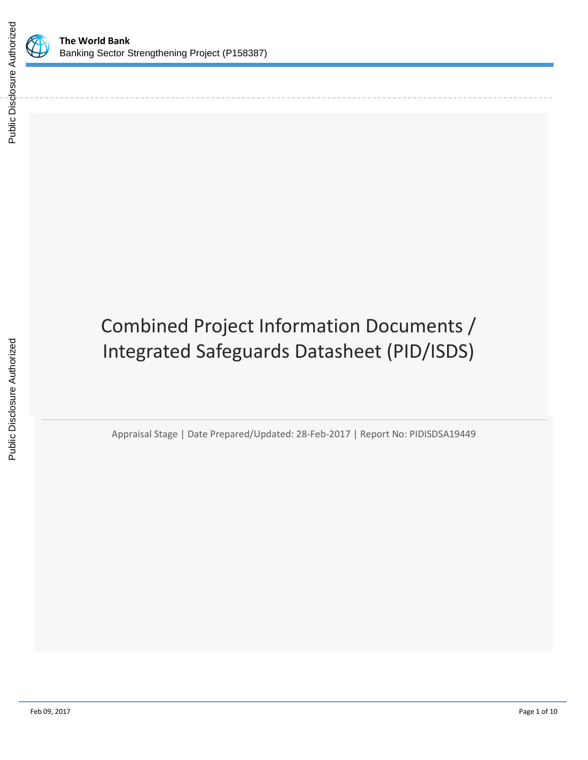



# Combined Project Information Documents / Integrated Safeguards Datasheet (PID/ISDS)

Appraisal Stage | Date Prepared/Updated: 28-Feb-2017 | Report No: PIDISDSA19449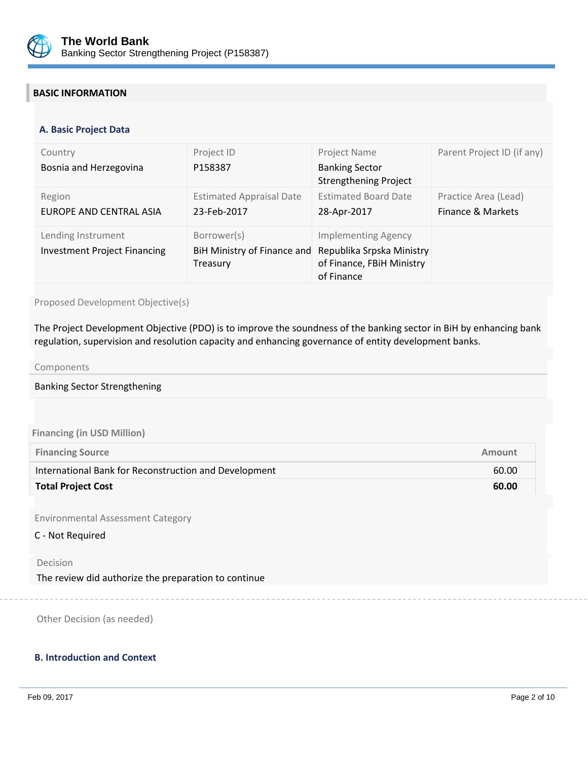

## **BASIC INFORMATION**

#### **OPS\_TABLE\_BASIC\_DATA A. Basic Project Data**

| Country<br>Bosnia and Herzegovina                         | Project ID<br>P158387                                  | Project Name<br><b>Banking Sector</b><br><b>Strengthening Project</b>                              | Parent Project ID (if any)                |
|-----------------------------------------------------------|--------------------------------------------------------|----------------------------------------------------------------------------------------------------|-------------------------------------------|
| Region<br>EUROPE AND CENTRAL ASIA                         | <b>Estimated Appraisal Date</b><br>23-Feb-2017         | <b>Estimated Board Date</b><br>28-Apr-2017                                                         | Practice Area (Lead)<br>Finance & Markets |
| Lending Instrument<br><b>Investment Project Financing</b> | Borrower(s)<br>BiH Ministry of Finance and<br>Treasury | <b>Implementing Agency</b><br>Republika Srpska Ministry<br>of Finance, FBiH Ministry<br>of Finance |                                           |

## Proposed Development Objective(s)

The Project Development Objective (PDO) is to improve the soundness of the banking sector in BiH by enhancing bank regulation, supervision and resolution capacity and enhancing governance of entity development banks.

#### Components

#### Banking Sector Strengthening

#### **Financing (in USD Million)**

| <b>Financing Source</b>                               | Amount |
|-------------------------------------------------------|--------|
| International Bank for Reconstruction and Development | 60.00  |
| <b>Total Project Cost</b>                             | 60.00  |

Environmental Assessment Category

#### C - Not Required

#### Decision

The review did authorize the preparation to continue

Other Decision (as needed)

### **B. Introduction and Context**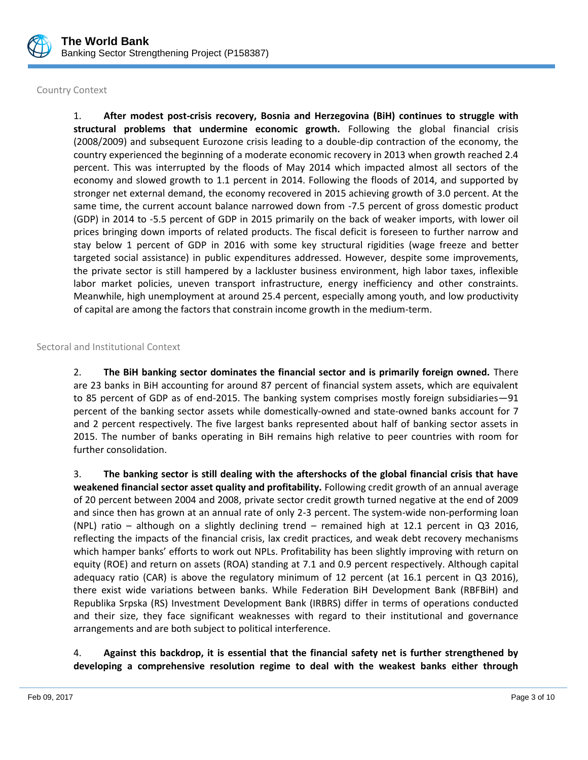

## Country Context

1. **After modest post-crisis recovery, Bosnia and Herzegovina (BiH) continues to struggle with structural problems that undermine economic growth.** Following the global financial crisis (2008/2009) and subsequent Eurozone crisis leading to a double-dip contraction of the economy, the country experienced the beginning of a moderate economic recovery in 2013 when growth reached 2.4 percent. This was interrupted by the floods of May 2014 which impacted almost all sectors of the economy and slowed growth to 1.1 percent in 2014. Following the floods of 2014, and supported by stronger net external demand, the economy recovered in 2015 achieving growth of 3.0 percent. At the same time, the current account balance narrowed down from -7.5 percent of gross domestic product (GDP) in 2014 to -5.5 percent of GDP in 2015 primarily on the back of weaker imports, with lower oil prices bringing down imports of related products. The fiscal deficit is foreseen to further narrow and stay below 1 percent of GDP in 2016 with some key structural rigidities (wage freeze and better targeted social assistance) in public expenditures addressed. However, despite some improvements, the private sector is still hampered by a lackluster business environment, high labor taxes, inflexible labor market policies, uneven transport infrastructure, energy inefficiency and other constraints. Meanwhile, high unemployment at around 25.4 percent, especially among youth, and low productivity of capital are among the factors that constrain income growth in the medium-term.

## Sectoral and Institutional Context

2. **The BiH banking sector dominates the financial sector and is primarily foreign owned.** There are 23 banks in BiH accounting for around 87 percent of financial system assets, which are equivalent to 85 percent of GDP as of end-2015. The banking system comprises mostly foreign subsidiaries—91 percent of the banking sector assets while domestically-owned and state-owned banks account for 7 and 2 percent respectively. The five largest banks represented about half of banking sector assets in 2015. The number of banks operating in BiH remains high relative to peer countries with room for further consolidation.

3. **The banking sector is still dealing with the aftershocks of the global financial crisis that have weakened financial sector asset quality and profitability.** Following credit growth of an annual average of 20 percent between 2004 and 2008, private sector credit growth turned negative at the end of 2009 and since then has grown at an annual rate of only 2-3 percent. The system-wide non-performing loan (NPL) ratio – although on a slightly declining trend – remained high at 12.1 percent in Q3 2016, reflecting the impacts of the financial crisis, lax credit practices, and weak debt recovery mechanisms which hamper banks' efforts to work out NPLs. Profitability has been slightly improving with return on equity (ROE) and return on assets (ROA) standing at 7.1 and 0.9 percent respectively. Although capital adequacy ratio (CAR) is above the regulatory minimum of 12 percent (at 16.1 percent in Q3 2016), there exist wide variations between banks. While Federation BiH Development Bank (RBFBiH) and Republika Srpska (RS) Investment Development Bank (IRBRS) differ in terms of operations conducted and their size, they face significant weaknesses with regard to their institutional and governance arrangements and are both subject to political interference.

## 4. **Against this backdrop, it is essential that the financial safety net is further strengthened by developing a comprehensive resolution regime to deal with the weakest banks either through**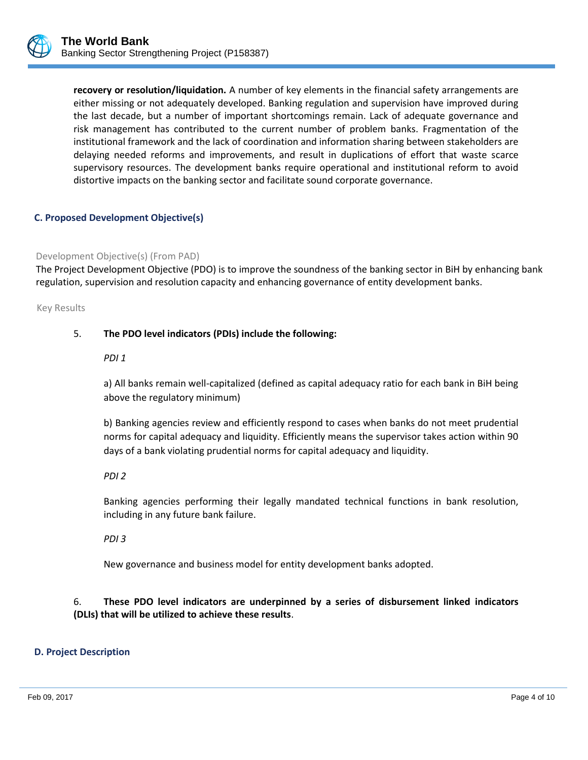

**recovery or resolution/liquidation.** A number of key elements in the financial safety arrangements are either missing or not adequately developed. Banking regulation and supervision have improved during the last decade, but a number of important shortcomings remain. Lack of adequate governance and risk management has contributed to the current number of problem banks. Fragmentation of the institutional framework and the lack of coordination and information sharing between stakeholders are delaying needed reforms and improvements, and result in duplications of effort that waste scarce supervisory resources. The development banks require operational and institutional reform to avoid distortive impacts on the banking sector and facilitate sound corporate governance.

## **C. Proposed Development Objective(s)**

#### Development Objective(s) (From PAD)

The Project Development Objective (PDO) is to improve the soundness of the banking sector in BiH by enhancing bank regulation, supervision and resolution capacity and enhancing governance of entity development banks.

Key Results

## 5. **The PDO level indicators (PDIs) include the following:**

*PDI 1*

a) All banks remain well-capitalized (defined as capital adequacy ratio for each bank in BiH being above the regulatory minimum)

b) Banking agencies review and efficiently respond to cases when banks do not meet prudential norms for capital adequacy and liquidity. Efficiently means the supervisor takes action within 90 days of a bank violating prudential norms for capital adequacy and liquidity.

#### *PDI 2*

Banking agencies performing their legally mandated technical functions in bank resolution, including in any future bank failure.

*PDI 3*

New governance and business model for entity development banks adopted.

6. **These PDO level indicators are underpinned by a series of disbursement linked indicators (DLIs) that will be utilized to achieve these results**.

#### **D. Project Description**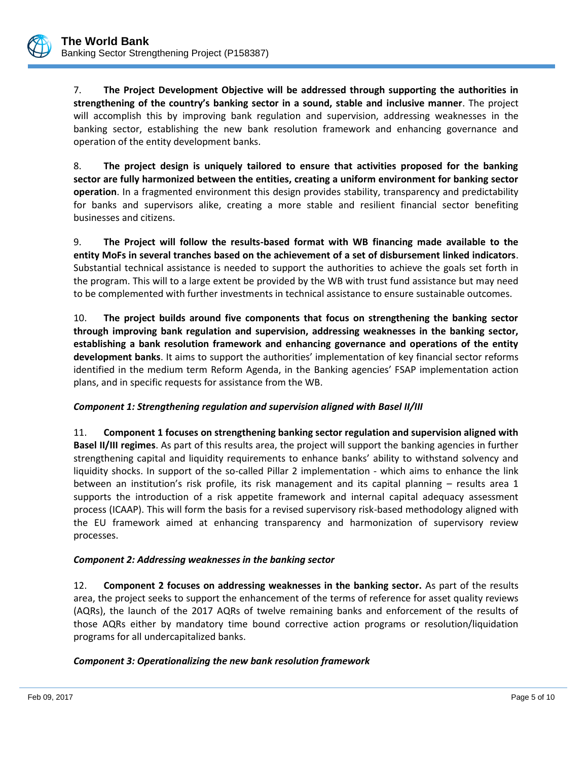7. **The Project Development Objective will be addressed through supporting the authorities in strengthening of the country's banking sector in a sound, stable and inclusive manner**. The project will accomplish this by improving bank regulation and supervision, addressing weaknesses in the banking sector, establishing the new bank resolution framework and enhancing governance and operation of the entity development banks.

8. **The project design is uniquely tailored to ensure that activities proposed for the banking sector are fully harmonized between the entities, creating a uniform environment for banking sector operation**. In a fragmented environment this design provides stability, transparency and predictability for banks and supervisors alike, creating a more stable and resilient financial sector benefiting businesses and citizens.

9. **The Project will follow the results-based format with WB financing made available to the entity MoFs in several tranches based on the achievement of a set of disbursement linked indicators**. Substantial technical assistance is needed to support the authorities to achieve the goals set forth in the program. This will to a large extent be provided by the WB with trust fund assistance but may need to be complemented with further investments in technical assistance to ensure sustainable outcomes.

10. **The project builds around five components that focus on strengthening the banking sector through improving bank regulation and supervision, addressing weaknesses in the banking sector, establishing a bank resolution framework and enhancing governance and operations of the entity development banks**. It aims to support the authorities' implementation of key financial sector reforms identified in the medium term Reform Agenda, in the Banking agencies' FSAP implementation action plans, and in specific requests for assistance from the WB.

## *Component 1: Strengthening regulation and supervision aligned with Basel II/III*

11. **Component 1 focuses on strengthening banking sector regulation and supervision aligned with Basel II/III regimes**. As part of this results area, the project will support the banking agencies in further strengthening capital and liquidity requirements to enhance banks' ability to withstand solvency and liquidity shocks. In support of the so-called Pillar 2 implementation - which aims to enhance the link between an institution's risk profile, its risk management and its capital planning – results area 1 supports the introduction of a risk appetite framework and internal capital adequacy assessment process (ICAAP). This will form the basis for a revised supervisory risk-based methodology aligned with the EU framework aimed at enhancing transparency and harmonization of supervisory review processes.

## *Component 2: Addressing weaknesses in the banking sector*

12. **Component 2 focuses on addressing weaknesses in the banking sector.** As part of the results area, the project seeks to support the enhancement of the terms of reference for asset quality reviews (AQRs), the launch of the 2017 AQRs of twelve remaining banks and enforcement of the results of those AQRs either by mandatory time bound corrective action programs or resolution/liquidation programs for all undercapitalized banks.

## *Component 3: Operationalizing the new bank resolution framework*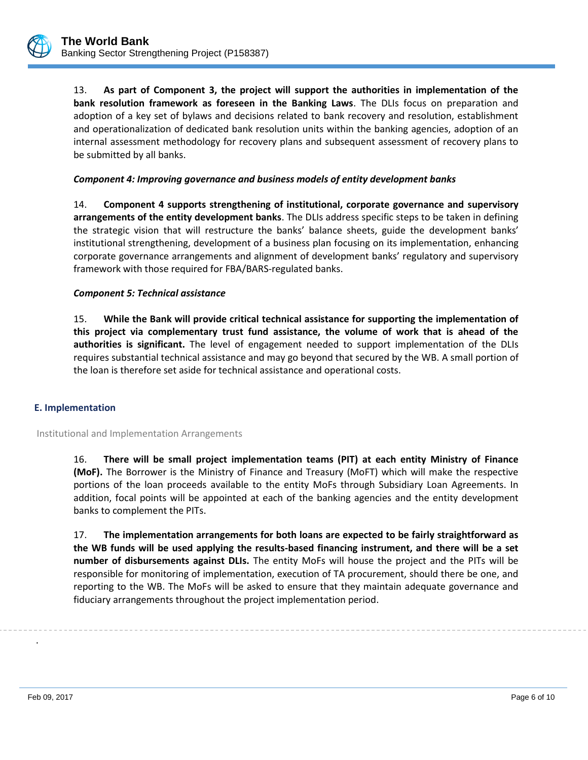

13. **As part of Component 3, the project will support the authorities in implementation of the bank resolution framework as foreseen in the Banking Laws**. The DLIs focus on preparation and adoption of a key set of bylaws and decisions related to bank recovery and resolution, establishment and operationalization of dedicated bank resolution units within the banking agencies, adoption of an internal assessment methodology for recovery plans and subsequent assessment of recovery plans to be submitted by all banks.

## *Component 4: Improving governance and business models of entity development banks*

14. **Component 4 supports strengthening of institutional, corporate governance and supervisory arrangements of the entity development banks**. The DLIs address specific steps to be taken in defining the strategic vision that will restructure the banks' balance sheets, guide the development banks' institutional strengthening, development of a business plan focusing on its implementation, enhancing corporate governance arrangements and alignment of development banks' regulatory and supervisory framework with those required for FBA/BARS-regulated banks.

#### *Component 5: Technical assistance*

15. **While the Bank will provide critical technical assistance for supporting the implementation of this project via complementary trust fund assistance, the volume of work that is ahead of the authorities is significant.** The level of engagement needed to support implementation of the DLIs requires substantial technical assistance and may go beyond that secured by the WB. A small portion of the loan is therefore set aside for technical assistance and operational costs.

#### **E. Implementation**

Institutional and Implementation Arrangements

16. **There will be small project implementation teams (PIT) at each entity Ministry of Finance (MoF).** The Borrower is the Ministry of Finance and Treasury (MoFT) which will make the respective portions of the loan proceeds available to the entity MoFs through Subsidiary Loan Agreements. In addition, focal points will be appointed at each of the banking agencies and the entity development banks to complement the PITs.

17. **The implementation arrangements for both loans are expected to be fairly straightforward as the WB funds will be used applying the results-based financing instrument, and there will be a set number of disbursements against DLIs.** The entity MoFs will house the project and the PITs will be responsible for monitoring of implementation, execution of TA procurement, should there be one, and reporting to the WB. The MoFs will be asked to ensure that they maintain adequate governance and fiduciary arrangements throughout the project implementation period.

.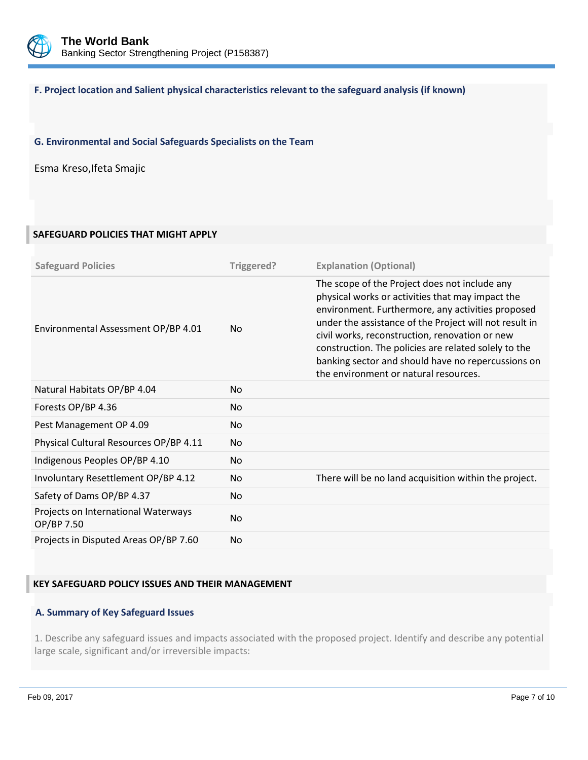

## **F. Project location and Salient physical characteristics relevant to the safeguard analysis (if known)**

## **G. Environmental and Social Safeguards Specialists on the Team**

Esma Kreso,Ifeta Smajic

## **SAFEGUARD POLICIES THAT MIGHT APPLY**

| <b>Safeguard Policies</b>                         | Triggered? | <b>Explanation (Optional)</b>                                                                                                                                                                                                                                                                                                                                                                                             |
|---------------------------------------------------|------------|---------------------------------------------------------------------------------------------------------------------------------------------------------------------------------------------------------------------------------------------------------------------------------------------------------------------------------------------------------------------------------------------------------------------------|
| Environmental Assessment OP/BP 4.01               | <b>No</b>  | The scope of the Project does not include any<br>physical works or activities that may impact the<br>environment. Furthermore, any activities proposed<br>under the assistance of the Project will not result in<br>civil works, reconstruction, renovation or new<br>construction. The policies are related solely to the<br>banking sector and should have no repercussions on<br>the environment or natural resources. |
| Natural Habitats OP/BP 4.04                       | <b>No</b>  |                                                                                                                                                                                                                                                                                                                                                                                                                           |
| Forests OP/BP 4.36                                | <b>No</b>  |                                                                                                                                                                                                                                                                                                                                                                                                                           |
| Pest Management OP 4.09                           | <b>No</b>  |                                                                                                                                                                                                                                                                                                                                                                                                                           |
| Physical Cultural Resources OP/BP 4.11            | <b>No</b>  |                                                                                                                                                                                                                                                                                                                                                                                                                           |
| Indigenous Peoples OP/BP 4.10                     | <b>No</b>  |                                                                                                                                                                                                                                                                                                                                                                                                                           |
| Involuntary Resettlement OP/BP 4.12               | <b>No</b>  | There will be no land acquisition within the project.                                                                                                                                                                                                                                                                                                                                                                     |
| Safety of Dams OP/BP 4.37                         | <b>No</b>  |                                                                                                                                                                                                                                                                                                                                                                                                                           |
| Projects on International Waterways<br>OP/BP 7.50 | <b>No</b>  |                                                                                                                                                                                                                                                                                                                                                                                                                           |
| Projects in Disputed Areas OP/BP 7.60             | <b>No</b>  |                                                                                                                                                                                                                                                                                                                                                                                                                           |

## **KEY SAFEGUARD POLICY ISSUES AND THEIR MANAGEMENT**

#### **A. Summary of Key Safeguard Issues**

1. Describe any safeguard issues and impacts associated with the proposed project. Identify and describe any potential large scale, significant and/or irreversible impacts: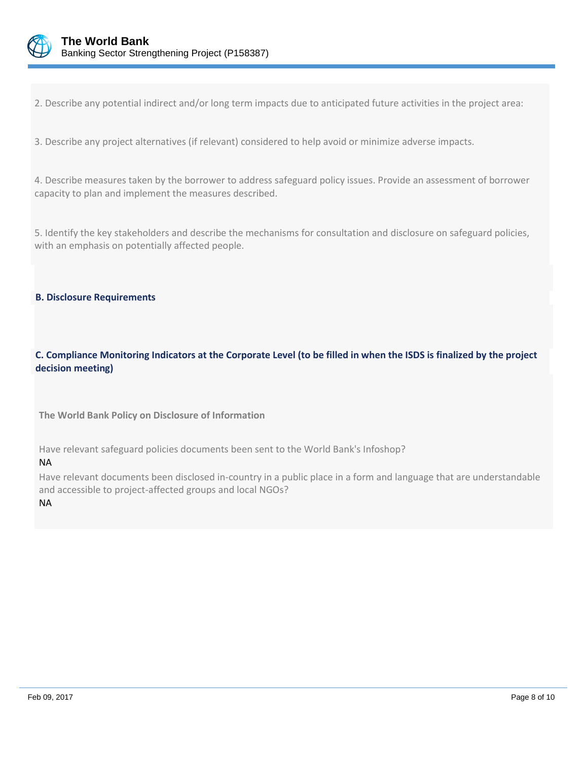

2. Describe any potential indirect and/or long term impacts due to anticipated future activities in the project area:

3. Describe any project alternatives (if relevant) considered to help avoid or minimize adverse impacts.

4. Describe measures taken by the borrower to address safeguard policy issues. Provide an assessment of borrower capacity to plan and implement the measures described.

5. Identify the key stakeholders and describe the mechanisms for consultation and disclosure on safeguard policies, with an emphasis on potentially affected people.

### **B. Disclosure Requirements**

**C. Compliance Monitoring Indicators at the Corporate Level (to be filled in when the ISDS is finalized by the project decision meeting)** 

**The World Bank Policy on Disclosure of Information**

Have relevant safeguard policies documents been sent to the World Bank's Infoshop?

#### NA

Have relevant documents been disclosed in-country in a public place in a form and language that are understandable and accessible to project-affected groups and local NGOs? NA

Feb 09, 2017 Page 8 of 10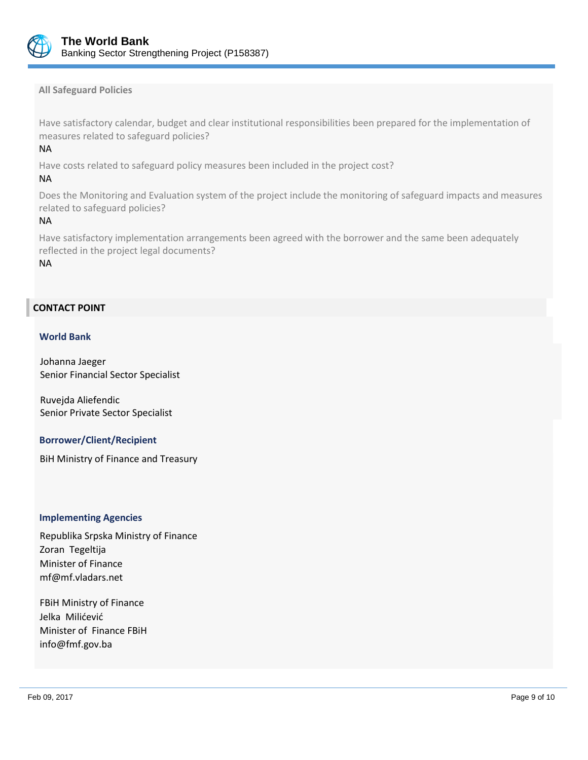

**All Safeguard Policies**

Have satisfactory calendar, budget and clear institutional responsibilities been prepared for the implementation of measures related to safeguard policies?

## NA

Have costs related to safeguard policy measures been included in the project cost?

## NA

Does the Monitoring and Evaluation system of the project include the monitoring of safeguard impacts and measures related to safeguard policies?

### NA

Have satisfactory implementation arrangements been agreed with the borrower and the same been adequately reflected in the project legal documents?

NA

## **CONTACT POINT**

### **World Bank**

Johanna Jaeger Senior Financial Sector Specialist

Ruvejda Aliefendic Senior Private Sector Specialist

## **Borrower/Client/Recipient**

BiH Ministry of Finance and Treasury

#### **Implementing Agencies**

Republika Srpska Ministry of Finance Zoran Tegeltija Minister of Finance mf@mf.vladars.net

FBiH Ministry of Finance Jelka Milićević Minister of Finance FBiH info@fmf.gov.ba